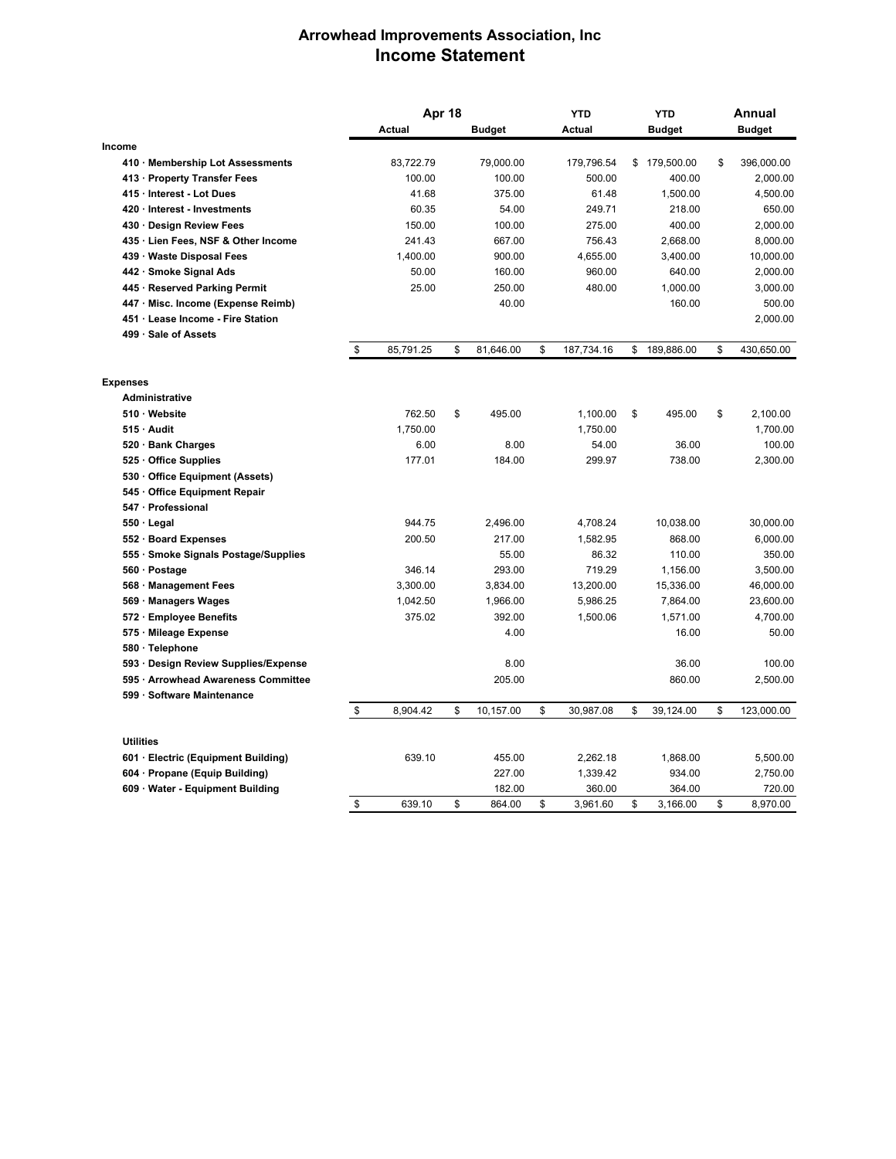## **Arrowhead Improvements Association, Inc Income Statement**

|                                      | Apr 18          |    |               | <b>YTD</b>       |    | <b>YTD</b>    |    | Annual     |  |
|--------------------------------------|-----------------|----|---------------|------------------|----|---------------|----|------------|--|
|                                      | Actual          |    | <b>Budget</b> | Actual           |    | <b>Budget</b> |    | Budget     |  |
| Income                               |                 |    |               |                  |    |               |    |            |  |
| 410 Membership Lot Assessments       | 83,722.79       |    | 79,000.00     | 179,796.54       |    | \$179,500.00  | \$ | 396,000.00 |  |
| 413 · Property Transfer Fees         | 100.00          |    | 100.00        | 500.00           |    | 400.00        |    | 2,000.00   |  |
| 415 · Interest - Lot Dues            | 41.68           |    | 375.00        | 61.48            |    | 1,500.00      |    | 4,500.00   |  |
| 420 · Interest - Investments         | 60.35           |    | 54.00         | 249.71           |    | 218.00        |    | 650.00     |  |
| 430 · Design Review Fees             | 150.00          |    | 100.00        | 275.00           |    | 400.00        |    | 2,000.00   |  |
| 435 · Lien Fees, NSF & Other Income  | 241.43          |    | 667.00        | 756.43           |    | 2,668.00      |    | 8,000.00   |  |
| 439 · Waste Disposal Fees            | 1,400.00        |    | 900.00        | 4,655.00         |    | 3,400.00      |    | 10,000.00  |  |
| 442 · Smoke Signal Ads               | 50.00           |    | 160.00        | 960.00           |    | 640.00        |    | 2,000.00   |  |
| 445 · Reserved Parking Permit        | 25.00           |    | 250.00        | 480.00           |    | 1,000.00      |    | 3,000.00   |  |
| 447 Misc. Income (Expense Reimb)     |                 |    | 40.00         |                  |    | 160.00        |    | 500.00     |  |
| 451 Lease Income - Fire Station      |                 |    |               |                  |    |               |    | 2,000.00   |  |
| 499 · Sale of Assets                 |                 |    |               |                  |    |               |    |            |  |
|                                      | \$<br>85,791.25 | \$ | 81,646.00     | \$<br>187,734.16 | \$ | 189,886.00    | \$ | 430,650.00 |  |
| <b>Expenses</b>                      |                 |    |               |                  |    |               |    |            |  |
| Administrative                       |                 |    |               |                  |    |               |    |            |  |
| 510 Website                          | 762.50          | \$ | 495.00        | 1,100.00         | \$ | 495.00        | \$ | 2,100.00   |  |
| 515 Audit                            | 1,750.00        |    |               | 1,750.00         |    |               |    | 1,700.00   |  |
| 520 · Bank Charges                   | 6.00            |    | 8.00          | 54.00            |    | 36.00         |    | 100.00     |  |
| 525 Office Supplies                  | 177.01          |    | 184.00        | 299.97           |    | 738.00        |    | 2,300.00   |  |
| 530 Office Equipment (Assets)        |                 |    |               |                  |    |               |    |            |  |
| 545 Office Equipment Repair          |                 |    |               |                  |    |               |    |            |  |
| 547 · Professional                   |                 |    |               |                  |    |               |    |            |  |
| $550 \cdot$ Legal                    | 944.75          |    | 2,496.00      | 4,708.24         |    | 10,038.00     |    | 30,000.00  |  |
| 552 · Board Expenses                 | 200.50          |    | 217.00        | 1,582.95         |    | 868.00        |    | 6,000.00   |  |
| 555 · Smoke Signals Postage/Supplies |                 |    | 55.00         | 86.32            |    | 110.00        |    | 350.00     |  |
| 560 · Postage                        | 346.14          |    | 293.00        | 719.29           |    | 1,156.00      |    | 3,500.00   |  |
| 568 Management Fees                  | 3,300.00        |    | 3,834.00      | 13,200.00        |    | 15,336.00     |    | 46,000.00  |  |
| 569 Managers Wages                   | 1,042.50        |    | 1,966.00      | 5,986.25         |    | 7,864.00      |    | 23,600.00  |  |
| 572 · Employee Benefits              | 375.02          |    | 392.00        | 1,500.06         |    | 1,571.00      |    | 4,700.00   |  |
| 575 · Mileage Expense                |                 |    | 4.00          |                  |    | 16.00         |    | 50.00      |  |
| 580 · Telephone                      |                 |    |               |                  |    |               |    |            |  |
| 593 · Design Review Supplies/Expense |                 |    | 8.00          |                  |    | 36.00         |    | 100.00     |  |
| 595 · Arrowhead Awareness Committee  |                 |    | 205.00        |                  |    | 860.00        |    | 2,500.00   |  |
| 599 Software Maintenance             |                 |    |               |                  |    |               |    |            |  |
|                                      | \$<br>8,904.42  | \$ | 10,157.00     | \$<br>30,987.08  | \$ | 39,124.00     | \$ | 123,000.00 |  |
| <b>Utilities</b>                     |                 |    |               |                  |    |               |    |            |  |
| 601 · Electric (Equipment Building)  | 639.10          |    | 455.00        | 2,262.18         |    | 1,868.00      |    | 5,500.00   |  |
| 604 Propane (Equip Building)         |                 |    | 227.00        | 1,339.42         |    | 934.00        |    | 2,750.00   |  |
| 609 Water - Equipment Building       |                 |    | 182.00        | 360.00           |    | 364.00        |    | 720.00     |  |
|                                      | \$<br>639.10    | \$ | 864.00        | \$<br>3,961.60   | \$ | 3.166.00      | \$ | 8.970.00   |  |